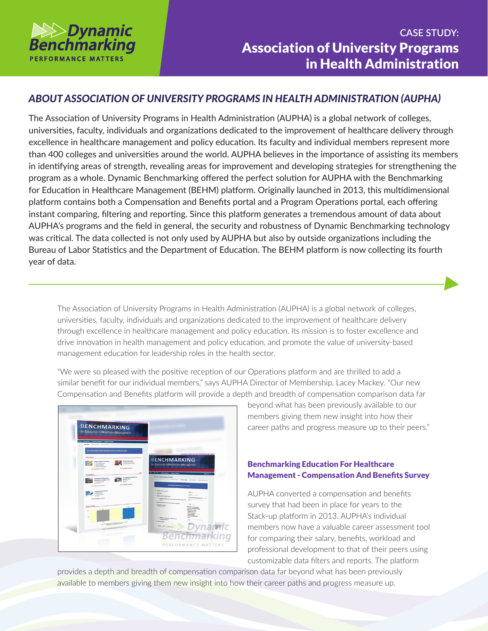

## *ABOUT ASSOCIATION OF UNIVERSITY PROGRAMS IN HEALTH ADMINISTRATION (AUPHA)*

The Association of University Programs in Health Administration (AUPHA) is a global network of colleges, universities, faculty, individuals and organizations dedicated to the improvement of healthcare delivery through excellence in healthcare management and policy education. Its faculty and individual members represent more than 400 colleges and universities around the world. AUPHA believes in the importance of assisting its members in identifying areas of strength, revealing areas for improvement and developing strategies for strengthening the program as a whole. Dynamic Benchmarking offered the perfect solution for AUPHA with the Benchmarking for Education in Healthcare Management (BEHM) platform. Originally launched in 2013, this multidimensional platform contains both a Compensation and Benefits portal and a Program Operations portal, each offering instant comparing, filtering and reporting. Since this platform generates a tremendous amount of data about AUPHA's programs and the field in general, the security and robustness of Dynamic Benchmarking technology was critical. The data collected is not only used by AUPHA but also by outside organizations including the Bureau of Labor Statistics and the Department of Education. The BEHM platform is now collecting its fourth year of data.

The Association of University Programs in Health Administration (AUPHA) is a global network of colleges, universities, faculty, individuals and organizations dedicated to the improvement of healthcare delivery through excellence in healthcare management and policy education. Its mission is to foster excellence and drive innovation in health management and policy education, and promote the value of university-based management education for leadership roles in the health sector.

"We were so pleased with the positive reception of our Operations platform and are thrilled to add a similar benefit for our individual members," says AUPHA Director of Membership, Lacey Mackey. "Our new Compensation and Benefits platform will provide a depth and breadth of compensation comparison data far



beyond what has been previously available to our members giving them new insight into how their career paths and progress measure up to their peers."

## Benchmarking Education For Healthcare Management - Compensation And Benefits Survey

AUPHA converted a compensation and benefits survey that had been in place for years to the Stack-up platform in 2013. AUPHA's individual members now have a valuable career assessment tool for comparing their salary, benefits, workload and professional development to that of their peers using customizable data filters and reports. The platform

provides a depth and breadth of compensation comparison data far beyond what has been previously available to members giving them new insight into how their career paths and progress measure up.